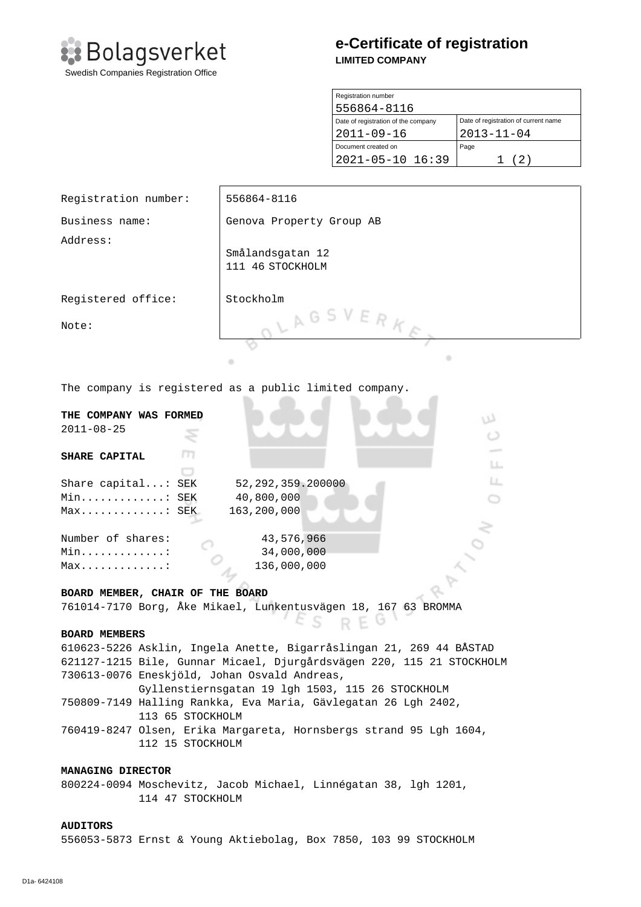

# **e-Certificate of registration LIMITED COMPANY**

| Registration number                 |                                      |  |
|-------------------------------------|--------------------------------------|--|
| 556864-8116                         |                                      |  |
| Date of registration of the company | Date of registration of current name |  |
| $2011 - 09 - 16$                    | $2013 - 11 - 04$                     |  |
| Document created on                 | Page                                 |  |
| $2021 - 05 - 10$ 16:39              | (2)                                  |  |

| Registration number:                                                                | 556864-8116                                                      |  |
|-------------------------------------------------------------------------------------|------------------------------------------------------------------|--|
| Business name:                                                                      | Genova Property Group AB                                         |  |
| Address:                                                                            |                                                                  |  |
|                                                                                     | Smålandsgatan 12                                                 |  |
|                                                                                     | 111 46 STOCKHOLM                                                 |  |
| Registered office:                                                                  | Stockholm                                                        |  |
|                                                                                     |                                                                  |  |
| Note:                                                                               | LAGSVERKE                                                        |  |
|                                                                                     |                                                                  |  |
|                                                                                     | ۰<br>۰                                                           |  |
|                                                                                     | The company is registered as a public limited company.           |  |
|                                                                                     |                                                                  |  |
| THE COMPANY WAS FORMED                                                              | w                                                                |  |
| $2011 - 08 - 25$                                                                    |                                                                  |  |
| т<br>SHARE CAPITAL                                                                  |                                                                  |  |
|                                                                                     | LL.                                                              |  |
| Share capital: SEK                                                                  | LL.<br>52, 292, 359. 200000                                      |  |
| 40,800,000<br>Min: SEK                                                              |                                                                  |  |
| 163,200,000<br>$Max$ SEK                                                            |                                                                  |  |
| Number of shares:<br>43,576,966                                                     |                                                                  |  |
| 34,000,000<br>Min. :                                                                |                                                                  |  |
| 136,000,000<br>$Max$                                                                |                                                                  |  |
|                                                                                     |                                                                  |  |
| BOARD MEMBER, CHAIR OF THE BOARD                                                    |                                                                  |  |
| 761014-7170 Borg, Åke Mikael, Lunkentusvägen 18, 167 63 BROMMA                      |                                                                  |  |
| <b>BOARD MEMBERS</b>                                                                |                                                                  |  |
| 610623-5226 Asklin, Ingela Anette, Bigarråslingan 21, 269 44 BÅSTAD                 |                                                                  |  |
| 621127-1215 Bile, Gunnar Micael, Djurgårdsvägen 220, 115 21 STOCKHOLM               |                                                                  |  |
| 730613-0076 Eneskjöld, Johan Osvald Andreas,                                        |                                                                  |  |
| Gyllenstiernsgatan 19 lgh 1503, 115 26 STOCKHOLM                                    |                                                                  |  |
| 750809-7149 Halling Rankka, Eva Maria, Gävlegatan 26 Lgh 2402,<br>113 65 STOCKHOLM  |                                                                  |  |
| 760419-8247 Olsen, Erika Margareta, Hornsbergs strand 95 Lgh 1604,                  |                                                                  |  |
| 112 15 STOCKHOLM                                                                    |                                                                  |  |
|                                                                                     |                                                                  |  |
| MANAGING DIRECTOR                                                                   |                                                                  |  |
| 800224-0094 Moschevitz, Jacob Michael, Linnégatan 38, 1gh 1201,<br>114 47 STOCKHOLM |                                                                  |  |
|                                                                                     |                                                                  |  |
| <b>AUDITORS</b>                                                                     |                                                                  |  |
|                                                                                     | 556053-5873 Ernst & Young Aktiebolag, Box 7850, 103 99 STOCKHOLM |  |